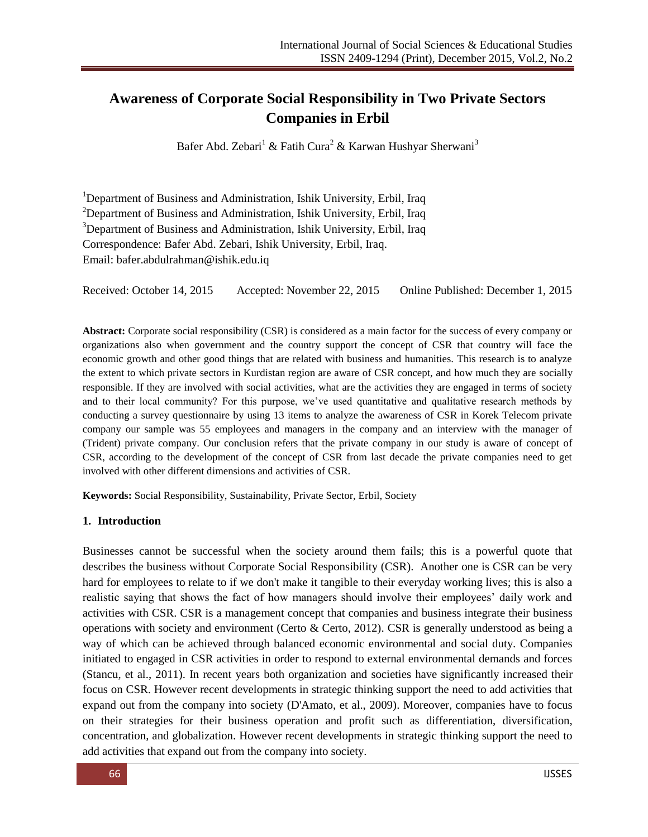# **Awareness of Corporate Social Responsibility in Two Private Sectors Companies in Erbil**

Bafer Abd. Zebari<sup>1</sup> & Fatih Cura<sup>2</sup> & Karwan Hushyar Sherwani<sup>3</sup>

<sup>1</sup>Department of Business and Administration, Ishik University, Erbil, Iraq  $2$ Department of Business and Administration, Ishik University, Erbil, Iraq <sup>3</sup>Department of Business and Administration, Ishik University, Erbil, Iraq Correspondence: Bafer Abd. Zebari, Ishik University, Erbil, Iraq. Email: [bafer.abdulrahman@ishik.edu.iq](mailto:bafer.abdulrahman@ishik.edu.iq)

Received: October 14, 2015 Accepted: November 22, 2015 Online Published: December 1, 2015

**Abstract:** Corporate social responsibility (CSR) is considered as a main factor for the success of every company or organizations also when government and the country support the concept of CSR that country will face the economic growth and other good things that are related with business and humanities. This research is to analyze the extent to which private sectors in Kurdistan region are aware of CSR concept, and how much they are socially responsible. If they are involved with social activities, what are the activities they are engaged in terms of society and to their local community? For this purpose, we've used quantitative and qualitative research methods by conducting a survey questionnaire by using 13 items to analyze the awareness of CSR in Korek Telecom private company our sample was 55 employees and managers in the company and an interview with the manager of (Trident) private company. Our conclusion refers that the private company in our study is aware of concept of CSR, according to the development of the concept of CSR from last decade the private companies need to get involved with other different dimensions and activities of CSR.

**Keywords:** Social Responsibility, Sustainability, Private Sector, Erbil, Society

#### **1. Introduction**

Businesses cannot be successful when the society around them fails; this is a powerful quote that describes the business without Corporate Social Responsibility (CSR). Another one is CSR can be very hard for employees to relate to if we don't make it tangible to their everyday working lives; this is also a realistic saying that shows the fact of how managers should involve their employees' daily work and activities with CSR. CSR is a management concept that companies and business integrate their business operations with society and environment (Certo & Certo, 2012). CSR is generally understood as being a way of which can be achieved through balanced economic environmental and social duty. Companies initiated to engaged in CSR activities in order to respond to external environmental demands and forces (Stancu, et al., 2011). In recent years both organization and societies have significantly increased their focus on CSR. However recent developments in strategic thinking support the need to add activities that expand out from the company into society (D'Amato, et al., 2009). Moreover, companies have to focus on their strategies for their business operation and profit such as differentiation, diversification, concentration, and globalization. However recent developments in strategic thinking support the need to add activities that expand out from the company into society.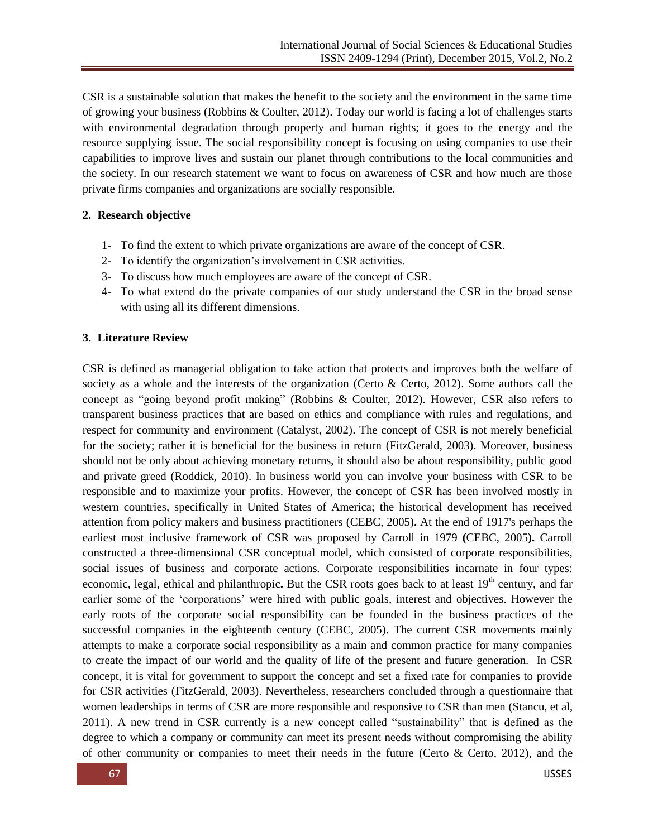CSR is a sustainable solution that makes the benefit to the society and the environment in the same time of growing your business (Robbins & Coulter, 2012). Today our world is facing a lot of challenges starts with environmental degradation through property and human rights; it goes to the energy and the resource supplying issue. The social responsibility concept is focusing on using companies to use their capabilities to improve lives and sustain our planet through contributions to the local communities and the society. In our research statement we want to focus on awareness of CSR and how much are those private firms companies and organizations are socially responsible.

#### **2. Research objective**

- 1- To find the extent to which private organizations are aware of the concept of CSR.
- 2- To identify the organization's involvement in CSR activities.
- 3- To discuss how much employees are aware of the concept of CSR.
- 4- To what extend do the private companies of our study understand the CSR in the broad sense with using all its different dimensions.

### **3. Literature Review**

CSR is defined as managerial obligation to take action that protects and improves both the welfare of society as a whole and the interests of the organization (Certo & Certo, 2012). Some authors call the concept as "going beyond profit making" (Robbins & Coulter, 2012). However, CSR also refers to transparent business practices that are based on ethics and compliance with rules and regulations, and respect for community and environment (Catalyst, 2002). The concept of CSR is not merely beneficial for the society; rather it is beneficial for the business in return (FitzGerald, 2003). Moreover, business should not be only about achieving monetary returns, it should also be about responsibility, public good and private greed (Roddick, 2010). In business world you can involve your business with CSR to be responsible and to maximize your profits. However, the concept of CSR has been involved mostly in western countries, specifically in United States of America; the historical development has received attention from policy makers and business practitioners (CEBC, 2005)**.** At the end of 1917's perhaps the earliest most inclusive framework of CSR was proposed by Carroll in 1979 **(**CEBC, 2005**).** Carroll constructed a three-dimensional CSR conceptual model, which consisted of corporate responsibilities, social issues of business and corporate actions. Corporate responsibilities incarnate in four types: economic, legal, ethical and philanthropic. But the CSR roots goes back to at least 19<sup>th</sup> century, and far earlier some of the 'corporations' were hired with public goals, interest and objectives. However the early roots of the corporate social responsibility can be founded in the business practices of the successful companies in the eighteenth century (CEBC, 2005). The current CSR movements mainly attempts to make a corporate social responsibility as a main and common practice for many companies to create the impact of our world and the quality of life of the present and future generation. In CSR concept, it is vital for government to support the concept and set a fixed rate for companies to provide for CSR activities (FitzGerald, 2003). Nevertheless, researchers concluded through a questionnaire that women leaderships in terms of CSR are more responsible and responsive to CSR than men (Stancu, et al, 2011). A new trend in CSR currently is a new concept called "sustainability" that is defined as the degree to which a company or community can meet its present needs without compromising the ability of other community or companies to meet their needs in the future (Certo & Certo, 2012), and the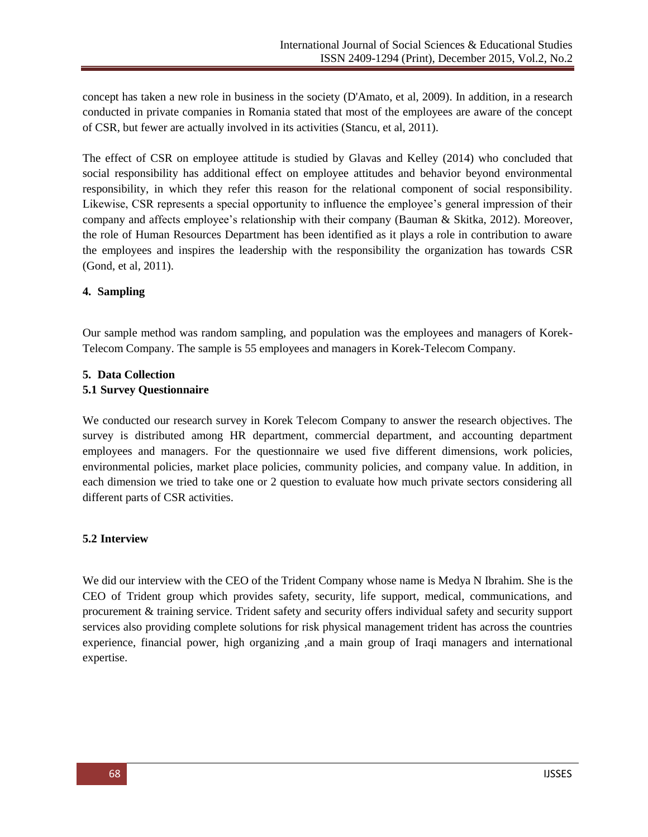concept has taken a new role in business in the society (D'Amato, et al, 2009). In addition, in a research conducted in private companies in Romania stated that most of the employees are aware of the concept of CSR, but fewer are actually involved in its activities (Stancu, et al, 2011).

The effect of CSR on employee attitude is studied by Glavas and Kelley (2014) who concluded that social responsibility has additional effect on employee attitudes and behavior beyond environmental responsibility, in which they refer this reason for the relational component of social responsibility. Likewise, CSR represents a special opportunity to influence the employee's general impression of their company and affects employee's relationship with their company (Bauman & Skitka, 2012). Moreover, the role of Human Resources Department has been identified as it plays a role in contribution to aware the employees and inspires the leadership with the responsibility the organization has towards CSR (Gond, et al, 2011).

#### **4. Sampling**

Our sample method was random sampling, and population was the employees and managers of Korek-Telecom Company. The sample is 55 employees and managers in Korek-Telecom Company.

#### **5. Data Collection**

#### **5.1 Survey Questionnaire**

We conducted our research survey in Korek Telecom Company to answer the research objectives. The survey is distributed among HR department, commercial department, and accounting department employees and managers. For the questionnaire we used five different dimensions, work policies, environmental policies, market place policies, community policies, and company value. In addition, in each dimension we tried to take one or 2 question to evaluate how much private sectors considering all different parts of CSR activities.

#### **5.2 Interview**

We did our interview with the CEO of the Trident Company whose name is Medya N Ibrahim. She is the CEO of Trident group which provides safety, security, life support, medical, communications, and procurement & training service. Trident safety and security offers individual safety and security support services also providing complete solutions for risk physical management trident has across the countries experience, financial power, high organizing ,and a main group of Iraqi managers and international expertise.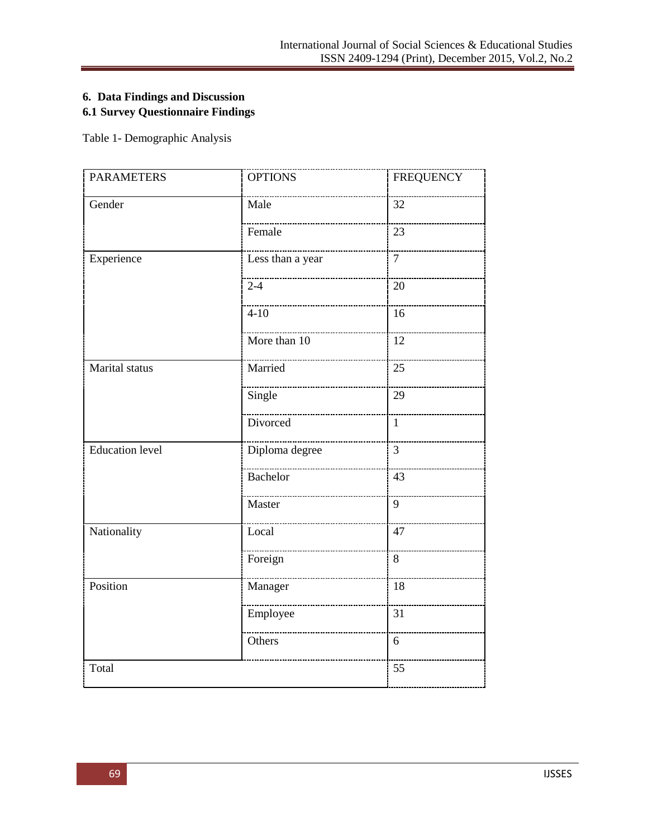## **6. Data Findings and Discussion 6.1 Survey Questionnaire Findings**

Table 1- Demographic Analysis

| <b>PARAMETERS</b>      | <b>OPTIONS</b>   | <b>FREQUENCY</b> |
|------------------------|------------------|------------------|
| Gender                 | Male             | 32               |
|                        | Female           | 23               |
| Experience             | Less than a year | $\overline{7}$   |
|                        | $2 - 4$          | 20               |
|                        | $4 - 10$         | 16               |
|                        | More than 10     | 12               |
| Marital status         | Married          | 25               |
|                        | Single           | 29               |
|                        | Divorced         | $\mathbf{1}$     |
| <b>Education</b> level | Diploma degree   | $\overline{3}$   |
|                        | <b>Bachelor</b>  | 43               |
|                        | Master           | 9                |
| Nationality            | Local            | 47               |
|                        | Foreign          | 8                |
| Position               | Manager          | 18               |
|                        | Employee         | 31               |
|                        | Others           | 6                |
| Total                  |                  | 55               |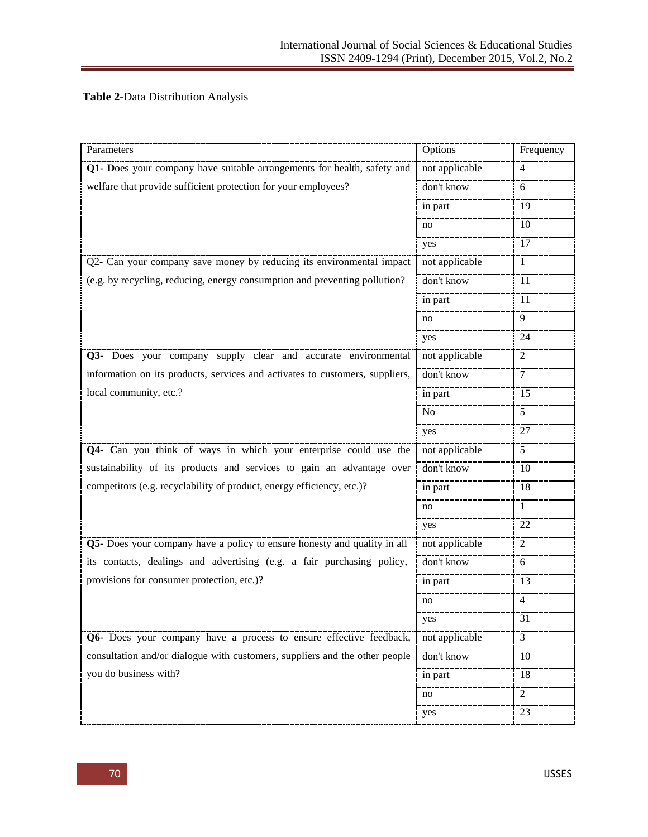## **Table 2-**Data Distribution Analysis

| Parameters                                                                   | Options        | Frequency      |
|------------------------------------------------------------------------------|----------------|----------------|
| Q1- Does your company have suitable arrangements for health, safety and      | not applicable | 4              |
| welfare that provide sufficient protection for your employees?               | don't know     | 6              |
|                                                                              | in part        | 19             |
|                                                                              | no             | 10             |
|                                                                              | yes            | 17             |
| Q2- Can your company save money by reducing its environmental impact         | not applicable | 1              |
| (e.g. by recycling, reducing, energy consumption and preventing pollution?   | don't know     | 11             |
|                                                                              | in part        | 11             |
|                                                                              | no             | 9              |
|                                                                              | yes            | 24             |
| Q3- Does your company supply clear and accurate environmental                | not applicable | $\overline{2}$ |
| information on its products, services and activates to customers, suppliers, | don't know     | 7              |
| local community, etc.?                                                       | in part        | 15             |
|                                                                              | N <sub>o</sub> | 5              |
|                                                                              | yes            | 27             |
| Q4- Can you think of ways in which your enterprise could use the             | not applicable | 5              |
| sustainability of its products and services to gain an advantage over        | don't know     | 10             |
| competitors (e.g. recyclability of product, energy efficiency, etc.)?        | in part        | 18             |
|                                                                              | no             | 1              |
|                                                                              | yes            | 22             |
| Q5- Does your company have a policy to ensure honesty and quality in all     | not applicable | 2              |
| its contacts, dealings and advertising (e.g. a fair purchasing policy,       | don't know     | 6              |
| provisions for consumer protection, etc.)?                                   | in part        | 13             |
|                                                                              | no             | 4              |
|                                                                              | yes            | 31             |
| Q6- Does your company have a process to ensure effective feedback,           | not applicable | 3              |
| consultation and/or dialogue with customers, suppliers and the other people  | don't know     | 10             |
| you do business with?                                                        | in part        | 18             |
|                                                                              | no             | 2              |
|                                                                              | yes            | 23             |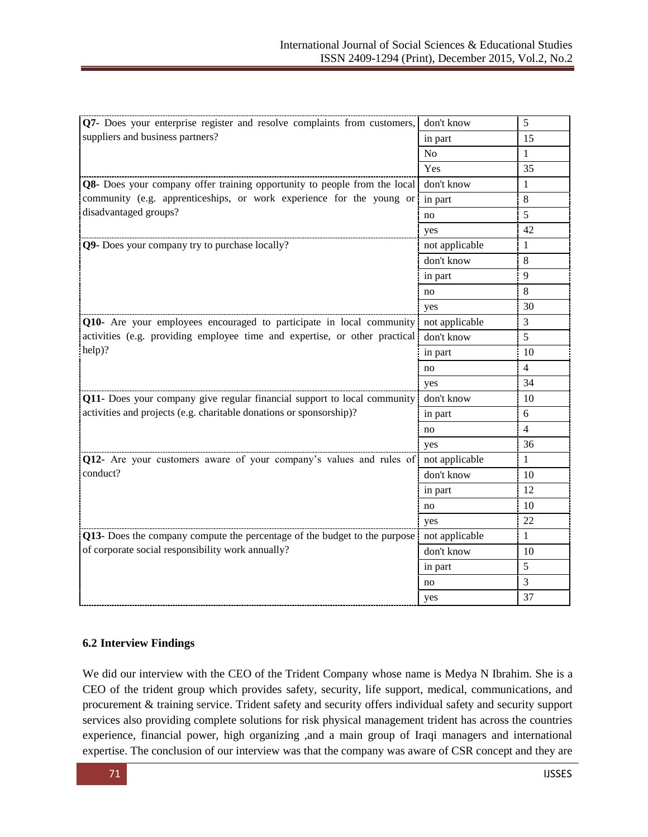| Q7- Does your enterprise register and resolve complaints from customers,                  | don't know     | 5              |
|-------------------------------------------------------------------------------------------|----------------|----------------|
| suppliers and business partners?                                                          | in part        | 15             |
|                                                                                           | No             | 1              |
|                                                                                           | Yes            | 35             |
| Q8- Does your company offer training opportunity to people from the local                 | don't know     | 1              |
| community (e.g. apprenticeships, or work experience for the young or                      | in part        | $8\,$          |
| disadvantaged groups?                                                                     | no             | 5              |
|                                                                                           | yes            | 42             |
| Q9- Does your company try to purchase locally?                                            | not applicable | 1              |
|                                                                                           | don't know     | 8              |
|                                                                                           | in part        | 9              |
|                                                                                           | no             | 8              |
|                                                                                           | yes            | 30             |
| Q10- Are your employees encouraged to participate in local community                      | not applicable | 3              |
| activities (e.g. providing employee time and expertise, or other practical                | don't know     | 5              |
| help)?                                                                                    | in part        | 10             |
|                                                                                           | no             | $\overline{4}$ |
|                                                                                           | yes            | 34             |
| Q11- Does your company give regular financial support to local community                  | don't know     | 10             |
| activities and projects (e.g. charitable donations or sponsorship)?                       | in part        | 6              |
|                                                                                           | no             | $\overline{4}$ |
|                                                                                           | yes            | 36             |
| <b>Q12-</b> Are your customers aware of your company's values and rules of not applicable |                | $\mathbf{1}$   |
| conduct?                                                                                  | don't know     | 10             |
|                                                                                           | in part        | 12             |
|                                                                                           | no             | 10             |
|                                                                                           | yes            | 22             |
| Q13- Does the company compute the percentage of the budget to the purpose                 | not applicable | $\mathbf{1}$   |
| of corporate social responsibility work annually?                                         | don't know     | 10             |
|                                                                                           | in part        | 5              |
|                                                                                           | no             | 3              |
|                                                                                           | yes            | 37             |

## **6.2 Interview Findings**

We did our interview with the CEO of the Trident Company whose name is Medya N Ibrahim. She is a CEO of the trident group which provides safety, security, life support, medical, communications, and procurement & training service. Trident safety and security offers individual safety and security support services also providing complete solutions for risk physical management trident has across the countries experience, financial power, high organizing ,and a main group of Iraqi managers and international expertise. The conclusion of our interview was that the company was aware of CSR concept and they are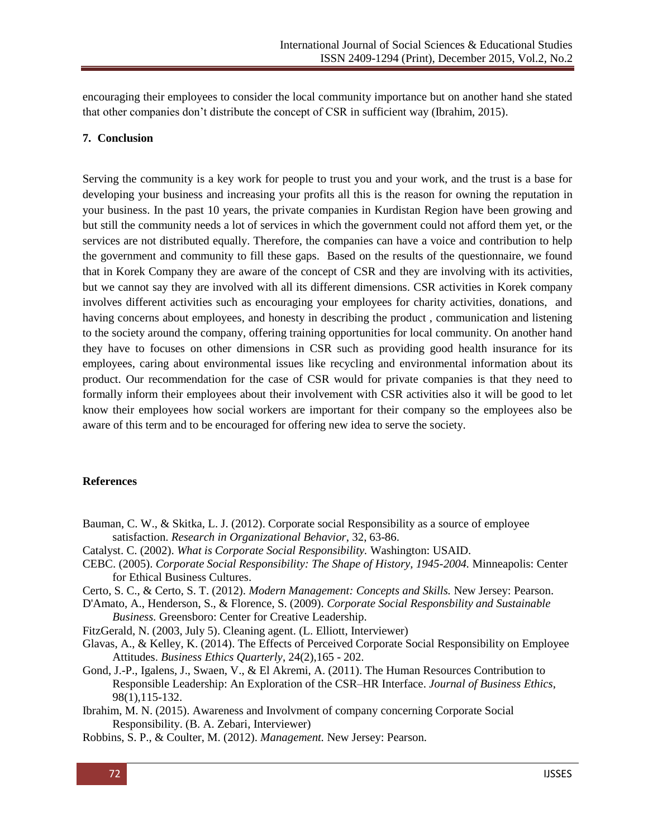encouraging their employees to consider the local community importance but on another hand she stated that other companies don't distribute the concept of CSR in sufficient way (Ibrahim, 2015).

#### **7. Conclusion**

Serving the community is a key work for people to trust you and your work, and the trust is a base for developing your business and increasing your profits all this is the reason for owning the reputation in your business. In the past 10 years, the private companies in Kurdistan Region have been growing and but still the community needs a lot of services in which the government could not afford them yet, or the services are not distributed equally. Therefore, the companies can have a voice and contribution to help the government and community to fill these gaps. Based on the results of the questionnaire, we found that in Korek Company they are aware of the concept of CSR and they are involving with its activities, but we cannot say they are involved with all its different dimensions. CSR activities in Korek company involves different activities such as encouraging your employees for charity activities, donations, and having concerns about employees, and honesty in describing the product , communication and listening to the society around the company, offering training opportunities for local community. On another hand they have to focuses on other dimensions in CSR such as providing good health insurance for its employees, caring about environmental issues like recycling and environmental information about its product. Our recommendation for the case of CSR would for private companies is that they need to formally inform their employees about their involvement with CSR activities also it will be good to let know their employees how social workers are important for their company so the employees also be aware of this term and to be encouraged for offering new idea to serve the society.

#### **References**

- Bauman, C. W., & Skitka, L. J. (2012). Corporate social Responsibility as a source of employee satisfaction. *Research in Organizational Behavior*, 32, 63-86.
- Catalyst. C. (2002). *What is Corporate Social Responsibility.* Washington: USAID.
- CEBC. (2005). *Corporate Social Responsibility: The Shape of History, 1945-2004.* Minneapolis: Center for Ethical Business Cultures.
- Certo, S. C., & Certo, S. T. (2012). *Modern Management: Concepts and Skills.* New Jersey: Pearson.
- D'Amato, A., Henderson, S., & Florence, S. (2009). *Corporate Social Responsbility and Sustainable Business.* Greensboro: Center for Creative Leadership.
- FitzGerald, N. (2003, July 5). Cleaning agent. (L. Elliott, Interviewer)
- Glavas, A., & Kelley, K. (2014). The Effects of Perceived Corporate Social Responsibility on Employee Attitudes. *Business Ethics Quarterly*, 24(2),165 - 202.
- Gond, J.-P., Igalens, J., Swaen, V., & El Akremi, A. (2011). The Human Resources Contribution to Responsible Leadership: An Exploration of the CSR–HR Interface. *Journal of Business Ethics*, 98(1),115-132.
- Ibrahim, M. N. (2015). Awareness and Involvment of company concerning Corporate Social Responsibility. (B. A. Zebari, Interviewer)
- Robbins, S. P., & Coulter, M. (2012). *Management.* New Jersey: Pearson.